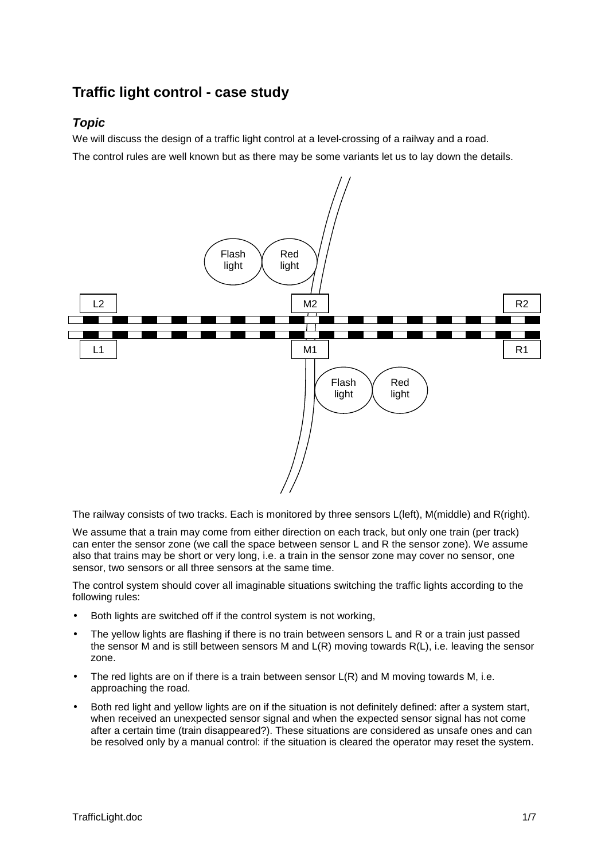# **Traffic light control - case study**

# *Topic*

We will discuss the design of a traffic light control at a level-crossing of a railway and a road.

The control rules are well known but as there may be some variants let us to lay down the details.



The railway consists of two tracks. Each is monitored by three sensors L(left), M(middle) and R(right).

We assume that a train may come from either direction on each track, but only one train (per track) can enter the sensor zone (we call the space between sensor L and R the sensor zone). We assume also that trains may be short or very long, i.e. a train in the sensor zone may cover no sensor, one sensor, two sensors or all three sensors at the same time.

The control system should cover all imaginable situations switching the traffic lights according to the following rules:

- Both lights are switched off if the control system is not working,
- The yellow lights are flashing if there is no train between sensors L and R or a train just passed the sensor M and is still between sensors M and L(R) moving towards R(L), i.e. leaving the sensor zone.
- The red lights are on if there is a train between sensor  $L(R)$  and M moving towards M, i.e. approaching the road.
- Both red light and yellow lights are on if the situation is not definitely defined: after a system start, when received an unexpected sensor signal and when the expected sensor signal has not come after a certain time (train disappeared?). These situations are considered as unsafe ones and can be resolved only by a manual control: if the situation is cleared the operator may reset the system.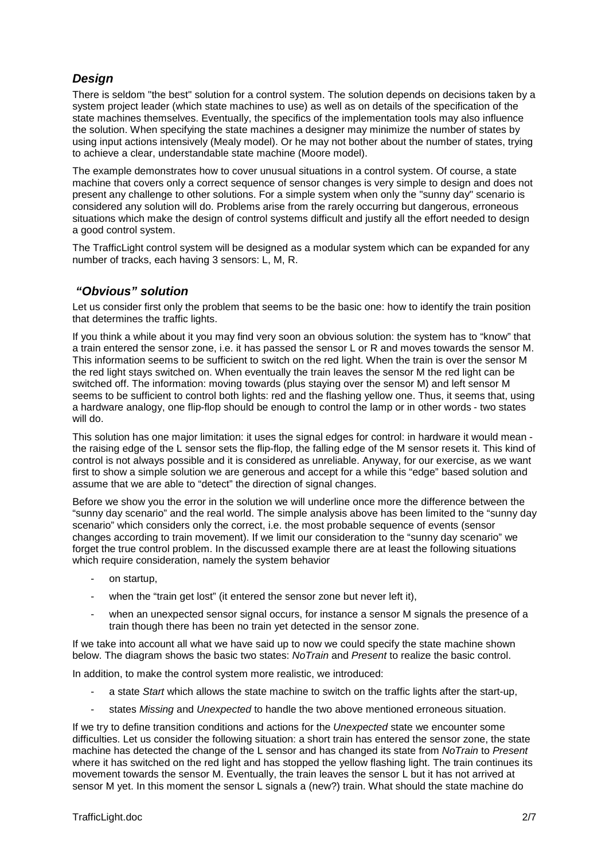# *Design*

There is seldom "the best" solution for a control system. The solution depends on decisions taken by a system project leader (which state machines to use) as well as on details of the specification of the state machines themselves. Eventually, the specifics of the implementation tools may also influence the solution. When specifying the state machines a designer may minimize the number of states by using input actions intensively (Mealy model). Or he may not bother about the number of states, trying to achieve a clear, understandable state machine (Moore model).

The example demonstrates how to cover unusual situations in a control system. Of course, a state machine that covers only a correct sequence of sensor changes is very simple to design and does not present any challenge to other solutions. For a simple system when only the "sunny day" scenario is considered any solution will do. Problems arise from the rarely occurring but dangerous, erroneous situations which make the design of control systems difficult and justify all the effort needed to design a good control system.

The TrafficLight control system will be designed as a modular system which can be expanded for any number of tracks, each having 3 sensors: L, M, R.

### *"Obvious" solution*

Let us consider first only the problem that seems to be the basic one: how to identify the train position that determines the traffic lights.

If you think a while about it you may find very soon an obvious solution: the system has to "know" that a train entered the sensor zone, i.e. it has passed the sensor L or R and moves towards the sensor M. This information seems to be sufficient to switch on the red light. When the train is over the sensor M the red light stays switched on. When eventually the train leaves the sensor M the red light can be switched off. The information: moving towards (plus staying over the sensor M) and left sensor M seems to be sufficient to control both lights: red and the flashing yellow one. Thus, it seems that, using a hardware analogy, one flip-flop should be enough to control the lamp or in other words - two states will do.

This solution has one major limitation: it uses the signal edges for control: in hardware it would mean the raising edge of the L sensor sets the flip-flop, the falling edge of the M sensor resets it. This kind of control is not always possible and it is considered as unreliable. Anyway, for our exercise, as we want first to show a simple solution we are generous and accept for a while this "edge" based solution and assume that we are able to "detect" the direction of signal changes.

Before we show you the error in the solution we will underline once more the difference between the "sunny day scenario" and the real world. The simple analysis above has been limited to the "sunny day scenario" which considers only the correct, i.e. the most probable sequence of events (sensor changes according to train movement). If we limit our consideration to the "sunny day scenario" we forget the true control problem. In the discussed example there are at least the following situations which require consideration, namely the system behavior

- on startup,
- when the "train get lost" (it entered the sensor zone but never left it),
- when an unexpected sensor signal occurs, for instance a sensor M signals the presence of a train though there has been no train yet detected in the sensor zone.

If we take into account all what we have said up to now we could specify the state machine shown below. The diagram shows the basic two states: *NoTrain* and *Present* to realize the basic control.

In addition, to make the control system more realistic, we introduced:

- a state *Start* which allows the state machine to switch on the traffic lights after the start-up,
- states *Missing* and *Unexpected* to handle the two above mentioned erroneous situation.

If we try to define transition conditions and actions for the *Unexpected* state we encounter some difficulties. Let us consider the following situation: a short train has entered the sensor zone, the state machine has detected the change of the L sensor and has changed its state from *NoTrain* to *Present* where it has switched on the red light and has stopped the yellow flashing light. The train continues its movement towards the sensor M. Eventually, the train leaves the sensor L but it has not arrived at sensor M yet. In this moment the sensor L signals a (new?) train. What should the state machine do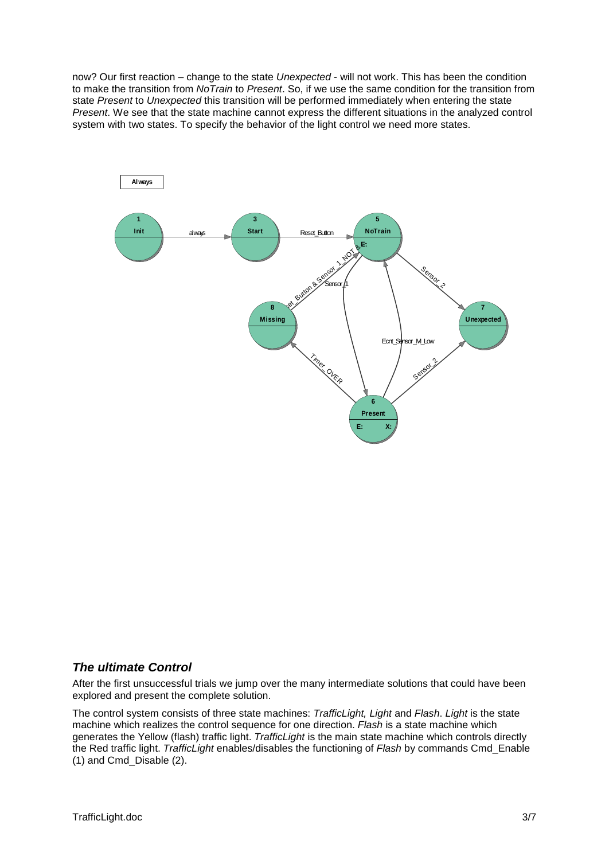now? Our first reaction – change to the state *Unexpected* - will not work. This has been the condition to make the transition from *NoTrain* to *Present*. So, if we use the same condition for the transition from state *Present* to *Unexpected* this transition will be performed immediately when entering the state *Present*. We see that the state machine cannot express the different situations in the analyzed control system with two states. To specify the behavior of the light control we need more states.



### *The ultimate Control*

After the first unsuccessful trials we jump over the many intermediate solutions that could have been explored and present the complete solution.

The control system consists of three state machines: *TrafficLight, Light* and *Flash*. *Light* is the state machine which realizes the control sequence for one direction. *Flash* is a state machine which generates the Yellow (flash) traffic light. *TrafficLight* is the main state machine which controls directly the Red traffic light. *TrafficLight* enables/disables the functioning of *Flash* by commands Cmd\_Enable (1) and Cmd\_Disable (2).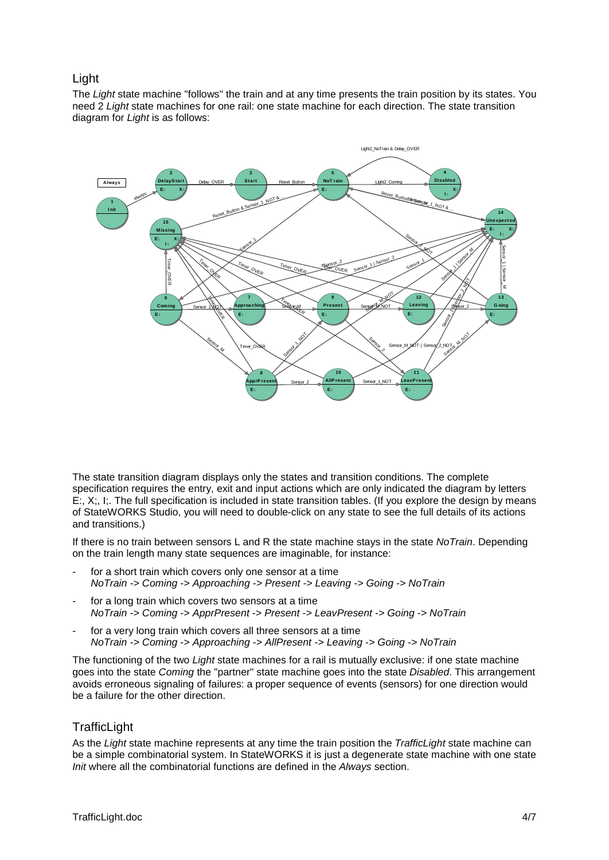## Light

The *Light* state machine "follows" the train and at any time presents the train position by its states. You need 2 *Light* state machines for one rail: one state machine for each direction. The state transition diagram for *Light* is as follows:



The state transition diagram displays only the states and transition conditions. The complete specification requires the entry, exit and input actions which are only indicated the diagram by letters E:, X;, I;. The full specification is included in state transition tables. (If you explore the design by means of StateWORKS Studio, you will need to double-click on any state to see the full details of its actions and transitions.)

If there is no train between sensors L and R the state machine stays in the state *NoTrain*. Depending on the train length many state sequences are imaginable, for instance:

- for a short train which covers only one sensor at a time *NoTrain -> Coming -> Approaching -> Present -> Leaving -> Going -> NoTrain*
- for a long train which covers two sensors at a time *NoTrain -> Coming -> ApprPresent -> Present -> LeavPresent -> Going -> NoTrain*
- for a very long train which covers all three sensors at a time *NoTrain -> Coming -> Approaching -> AllPresent -> Leaving -> Going -> NoTrain*

The functioning of the two *Light* state machines for a rail is mutually exclusive: if one state machine goes into the state *Coming* the "partner" state machine goes into the state *Disabled*. This arrangement avoids erroneous signaling of failures: a proper sequence of events (sensors) for one direction would be a failure for the other direction.

# **TrafficLight**

As the *Light* state machine represents at any time the train position the *TrafficLight* state machine can be a simple combinatorial system. In StateWORKS it is just a degenerate state machine with one state *Init* where all the combinatorial functions are defined in the *Always* section.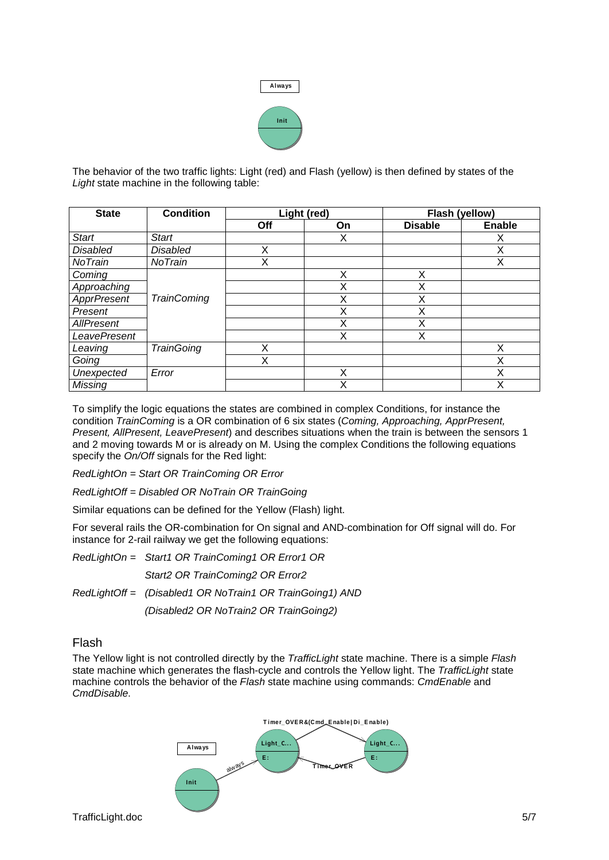

The behavior of the two traffic lights: Light (red) and Flash (yellow) is then defined by states of the *Light* state machine in the following table:

| <b>State</b>        | <b>Condition</b>   | Light (red) |    | Flash (yellow) |               |
|---------------------|--------------------|-------------|----|----------------|---------------|
|                     |                    | Off         | On | <b>Disable</b> | <b>Enable</b> |
| <b>Start</b>        | <b>Start</b>       |             | Χ  |                | Х             |
| <b>Disabled</b>     | <b>Disabled</b>    | X           |    |                | X             |
| NoTrain             | NoTrain            | Χ           |    |                | X             |
| Coming              |                    |             | X  | X              |               |
| Approaching         |                    |             | X  | Χ              |               |
| <b>ApprPresent</b>  | <b>TrainComing</b> |             | Χ  | Χ              |               |
| Present             |                    |             | X  | X              |               |
| AllPresent          |                    |             | X  | Χ              |               |
| <b>LeavePresent</b> |                    |             | X  | X              |               |
| Leaving             | <b>TrainGoing</b>  | Χ           |    |                | X             |
| Going               |                    | Χ           |    |                | Χ             |
| Unexpected          | Error              |             | X  |                | Χ             |
| <b>Missing</b>      |                    |             | X  |                | Χ             |

To simplify the logic equations the states are combined in complex Conditions, for instance the condition *TrainComing* is a OR combination of 6 six states (*Coming, Approaching, ApprPresent, Present, AllPresent, LeavePresent*) and describes situations when the train is between the sensors 1 and 2 moving towards M or is already on M. Using the complex Conditions the following equations specify the *On/Off* signals for the Red light:

*RedLightOn = Start OR TrainComing OR Error*

*RedLightOff = Disabled OR NoTrain OR TrainGoing*

Similar equations can be defined for the Yellow (Flash) light.

For several rails the OR-combination for On signal and AND-combination for Off signal will do. For instance for 2-rail railway we get the following equations:

*RedLightOn = Start1 OR TrainComing1 OR Error1 OR Start2 OR TrainComing2 OR Error2 RedLightOff = (Disabled1 OR NoTrain1 OR TrainGoing1) AND (Disabled2 OR NoTrain2 OR TrainGoing2)*

### Flash

The Yellow light is not controlled directly by the *TrafficLight* state machine. There is a simple *Flash* state machine which generates the flash-cycle and controls the Yellow light. The *TrafficLight* state machine controls the behavior of the *Flash* state machine using commands: *CmdEnable* and *CmdDisable*.

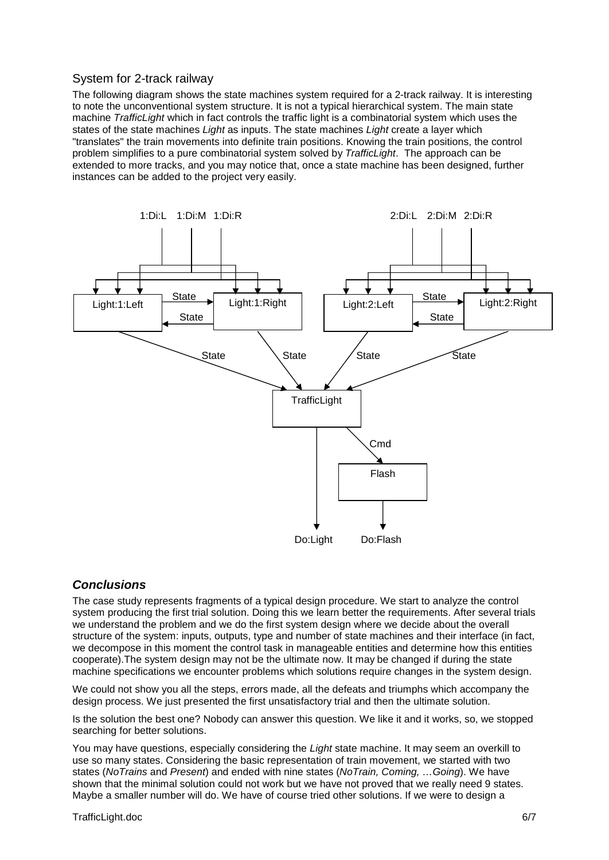## System for 2-track railway

The following diagram shows the state machines system required for a 2-track railway. It is interesting to note the unconventional system structure. It is not a typical hierarchical system. The main state machine *TrafficLight* which in fact controls the traffic light is a combinatorial system which uses the states of the state machines *Light* as inputs. The state machines *Light* create a layer which "translates" the train movements into definite train positions. Knowing the train positions, the control problem simplifies to a pure combinatorial system solved by *TrafficLight*. The approach can be extended to more tracks, and you may notice that, once a state machine has been designed, further instances can be added to the project very easily.



### *Conclusions*

The case study represents fragments of a typical design procedure. We start to analyze the control system producing the first trial solution. Doing this we learn better the requirements. After several trials we understand the problem and we do the first system design where we decide about the overall structure of the system: inputs, outputs, type and number of state machines and their interface (in fact, we decompose in this moment the control task in manageable entities and determine how this entities cooperate).The system design may not be the ultimate now. It may be changed if during the state machine specifications we encounter problems which solutions require changes in the system design.

We could not show you all the steps, errors made, all the defeats and triumphs which accompany the design process. We just presented the first unsatisfactory trial and then the ultimate solution.

Is the solution the best one? Nobody can answer this question. We like it and it works, so, we stopped searching for better solutions.

You may have questions, especially considering the *Light* state machine. It may seem an overkill to use so many states. Considering the basic representation of train movement, we started with two states (*NoTrains* and *Present*) and ended with nine states (*NoTrain, Coming, …Going*). We have shown that the minimal solution could not work but we have not proved that we really need 9 states. Maybe a smaller number will do. We have of course tried other solutions. If we were to design a